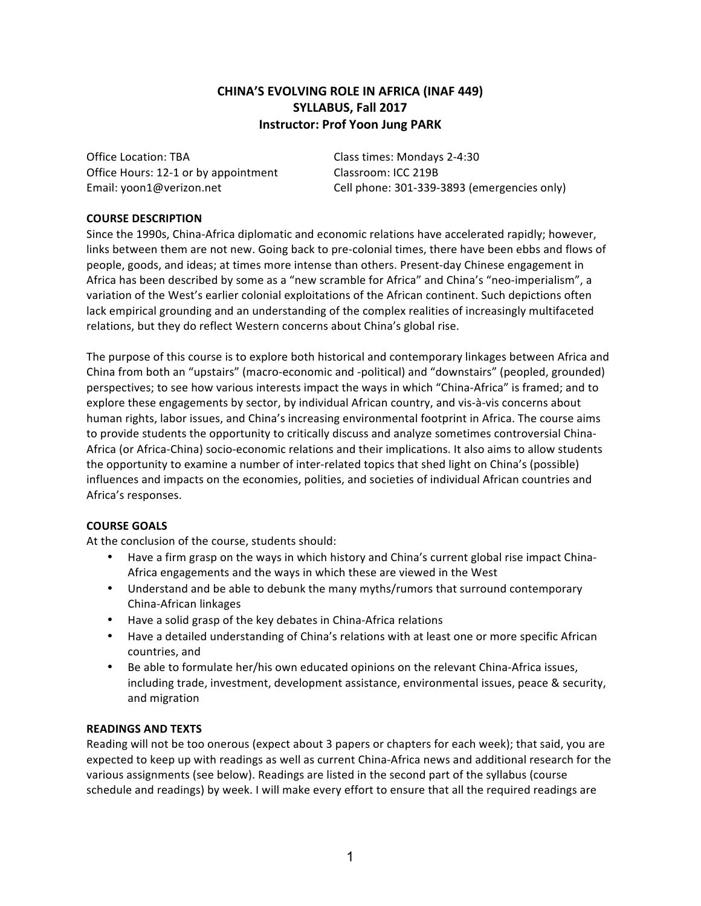# **CHINA'S EVOLVING ROLE IN AFRICA (INAF 449) SYLLABUS, Fall 2017 Instructor: Prof Yoon Jung PARK**

Office Location: TBA Class times: Mondays 2-4:30 Office Hours: 12-1 or by appointment Classroom: ICC 219B

Email: yoon1@verizon.net Cell phone: 301-339-3893 (emergencies only)

## **COURSE DESCRIPTION**

Since the 1990s, China-Africa diplomatic and economic relations have accelerated rapidly; however, links between them are not new. Going back to pre-colonial times, there have been ebbs and flows of people, goods, and ideas; at times more intense than others. Present-day Chinese engagement in Africa has been described by some as a "new scramble for Africa" and China's "neo-imperialism", a variation of the West's earlier colonial exploitations of the African continent. Such depictions often lack empirical grounding and an understanding of the complex realities of increasingly multifaceted relations, but they do reflect Western concerns about China's global rise.

The purpose of this course is to explore both historical and contemporary linkages between Africa and China from both an "upstairs" (macro-economic and -political) and "downstairs" (peopled, grounded) perspectives; to see how various interests impact the ways in which "China-Africa" is framed; and to explore these engagements by sector, by individual African country, and vis-à-vis concerns about human rights, labor issues, and China's increasing environmental footprint in Africa. The course aims to provide students the opportunity to critically discuss and analyze sometimes controversial China-Africa (or Africa-China) socio-economic relations and their implications. It also aims to allow students the opportunity to examine a number of inter-related topics that shed light on China's (possible) influences and impacts on the economies, polities, and societies of individual African countries and Africa's responses.

## **COURSE GOALS**

At the conclusion of the course, students should:

- Have a firm grasp on the ways in which history and China's current global rise impact China-Africa engagements and the ways in which these are viewed in the West
- Understand and be able to debunk the many myths/rumors that surround contemporary China-African linkages
- Have a solid grasp of the key debates in China-Africa relations
- Have a detailed understanding of China's relations with at least one or more specific African countries, and
- Be able to formulate her/his own educated opinions on the relevant China-Africa issues, including trade, investment, development assistance, environmental issues, peace & security, and migration

#### **READINGS AND TEXTS**

Reading will not be too onerous (expect about 3 papers or chapters for each week); that said, you are expected to keep up with readings as well as current China-Africa news and additional research for the various assignments (see below). Readings are listed in the second part of the syllabus (course schedule and readings) by week. I will make every effort to ensure that all the required readings are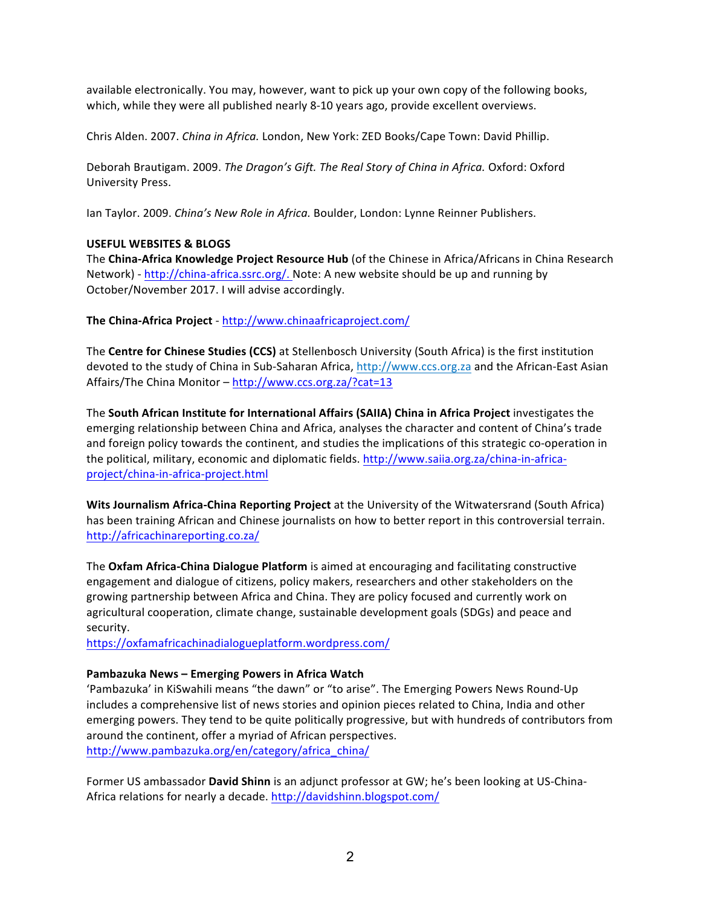available electronically. You may, however, want to pick up your own copy of the following books, which, while they were all published nearly 8-10 years ago, provide excellent overviews.

Chris Alden. 2007. *China in Africa.* London, New York: ZED Books/Cape Town: David Phillip.

Deborah Brautigam. 2009. *The Dragon's Gift. The Real Story of China in Africa.* Oxford: Oxford University Press.

Ian Taylor. 2009. *China's New Role in Africa*. Boulder, London: Lynne Reinner Publishers.

## **USEFUL WEBSITES & BLOGS**

The **China-Africa Knowledge Project Resource Hub** (of the Chinese in Africa/Africans in China Research Network) - http://china-africa.ssrc.org/. Note: A new website should be up and running by October/November 2017. I will advise accordingly.

**The China-Africa Project** - http://www.chinaafricaproject.com/

The **Centre for Chinese Studies (CCS)** at Stellenbosch University (South Africa) is the first institution devoted to the study of China in Sub-Saharan Africa, http://www.ccs.org.za and the African-East Asian Affairs/The China Monitor - http://www.ccs.org.za/?cat=13

The **South African Institute for International Affairs (SAIIA) China in Africa Project investigates the** emerging relationship between China and Africa, analyses the character and content of China's trade and foreign policy towards the continent, and studies the implications of this strategic co-operation in the political, military, economic and diplomatic fields. http://www.saiia.org.za/china-in-africaproject/china-in-africa-project.html

**Wits Journalism Africa-China Reporting Project** at the University of the Witwatersrand (South Africa) has been training African and Chinese journalists on how to better report in this controversial terrain. http://africachinareporting.co.za/

The Oxfam Africa-China Dialogue Platform is aimed at encouraging and facilitating constructive engagement and dialogue of citizens, policy makers, researchers and other stakeholders on the growing partnership between Africa and China. They are policy focused and currently work on agricultural cooperation, climate change, sustainable development goals (SDGs) and peace and security. 

https://oxfamafricachinadialogueplatform.wordpress.com/

#### **Pambazuka News – Emerging Powers in Africa Watch**

'Pambazuka' in KiSwahili means "the dawn" or "to arise". The Emerging Powers News Round-Up includes a comprehensive list of news stories and opinion pieces related to China, India and other emerging powers. They tend to be quite politically progressive, but with hundreds of contributors from around the continent, offer a myriad of African perspectives. http://www.pambazuka.org/en/category/africa\_china/

Former US ambassador David Shinn is an adjunct professor at GW; he's been looking at US-China-Africa relations for nearly a decade. http://davidshinn.blogspot.com/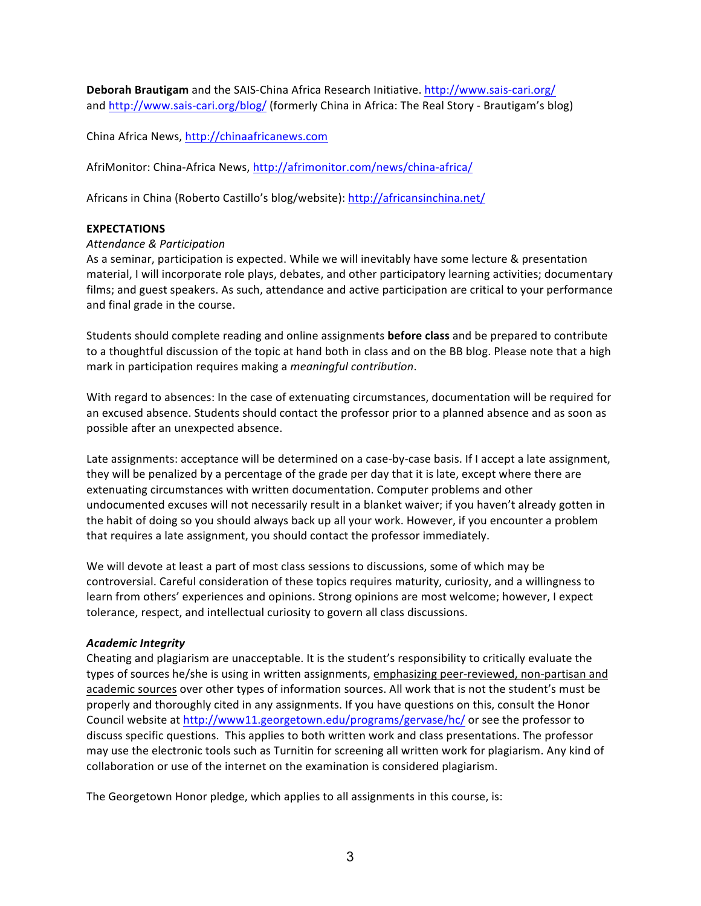**Deborah Brautigam** and the SAIS-China Africa Research Initiative. http://www.sais-cari.org/ and http://www.sais-cari.org/blog/ (formerly China in Africa: The Real Story - Brautigam's blog)

China Africa News, http://chinaafricanews.com

AfriMonitor: China-Africa News, http://afrimonitor.com/news/china-africa/

Africans in China (Roberto Castillo's blog/website): http://africansinchina.net/

## **EXPECTATIONS**

#### *Attendance & Participation*

As a seminar, participation is expected. While we will inevitably have some lecture & presentation material, I will incorporate role plays, debates, and other participatory learning activities; documentary films; and guest speakers. As such, attendance and active participation are critical to your performance and final grade in the course.

Students should complete reading and online assignments **before class** and be prepared to contribute to a thoughtful discussion of the topic at hand both in class and on the BB blog. Please note that a high mark in participation requires making a *meaningful contribution*.

With regard to absences: In the case of extenuating circumstances, documentation will be required for an excused absence. Students should contact the professor prior to a planned absence and as soon as possible after an unexpected absence.

Late assignments: acceptance will be determined on a case-by-case basis. If I accept a late assignment, they will be penalized by a percentage of the grade per day that it is late, except where there are extenuating circumstances with written documentation. Computer problems and other undocumented excuses will not necessarily result in a blanket waiver; if you haven't already gotten in the habit of doing so you should always back up all your work. However, if you encounter a problem that requires a late assignment, you should contact the professor immediately.

We will devote at least a part of most class sessions to discussions, some of which may be controversial. Careful consideration of these topics requires maturity, curiosity, and a willingness to learn from others' experiences and opinions. Strong opinions are most welcome; however, I expect tolerance, respect, and intellectual curiosity to govern all class discussions.

## *Academic Integrity*

Cheating and plagiarism are unacceptable. It is the student's responsibility to critically evaluate the types of sources he/she is using in written assignments, emphasizing peer-reviewed, non-partisan and academic sources over other types of information sources. All work that is not the student's must be properly and thoroughly cited in any assignments. If you have questions on this, consult the Honor Council website at http://www11.georgetown.edu/programs/gervase/hc/ or see the professor to discuss specific questions. This applies to both written work and class presentations. The professor may use the electronic tools such as Turnitin for screening all written work for plagiarism. Any kind of collaboration or use of the internet on the examination is considered plagiarism.

The Georgetown Honor pledge, which applies to all assignments in this course, is: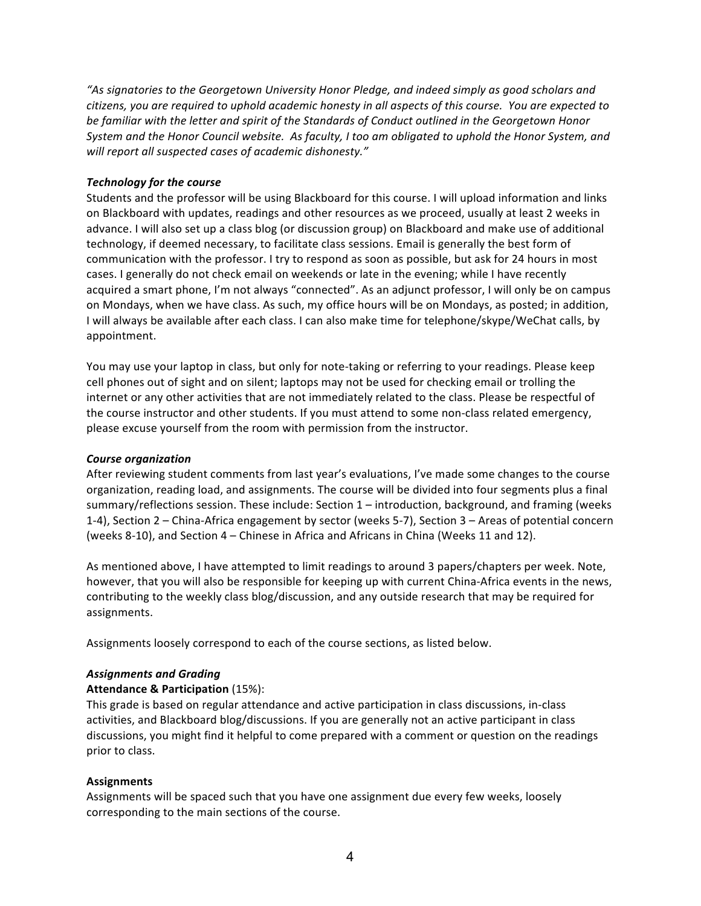"As signatories to the Georgetown University Honor Pledge, and indeed simply as good scholars and citizens, you are required to uphold academic honesty in all aspects of this course. You are expected to be familiar with the letter and spirit of the Standards of Conduct outlined in the Georgetown Honor System and the Honor Council website. As faculty, I too am obligated to uphold the Honor System, and will report all suspected cases of academic dishonesty."

#### **Technology for the course**

Students and the professor will be using Blackboard for this course. I will upload information and links on Blackboard with updates, readings and other resources as we proceed, usually at least 2 weeks in advance. I will also set up a class blog (or discussion group) on Blackboard and make use of additional technology, if deemed necessary, to facilitate class sessions. Email is generally the best form of communication with the professor. I try to respond as soon as possible, but ask for 24 hours in most cases. I generally do not check email on weekends or late in the evening; while I have recently acquired a smart phone, I'm not always "connected". As an adjunct professor, I will only be on campus on Mondays, when we have class. As such, my office hours will be on Mondays, as posted; in addition, I will always be available after each class. I can also make time for telephone/skype/WeChat calls, by appointment.

You may use your laptop in class, but only for note-taking or referring to your readings. Please keep cell phones out of sight and on silent; laptops may not be used for checking email or trolling the internet or any other activities that are not immediately related to the class. Please be respectful of the course instructor and other students. If you must attend to some non-class related emergency, please excuse yourself from the room with permission from the instructor.

#### *Course organization*

After reviewing student comments from last year's evaluations, I've made some changes to the course organization, reading load, and assignments. The course will be divided into four segments plus a final summary/reflections session. These include: Section  $1$  – introduction, background, and framing (weeks 1-4), Section  $2$  – China-Africa engagement by sector (weeks 5-7), Section  $3$  – Areas of potential concern (weeks 8-10), and Section  $4$  – Chinese in Africa and Africans in China (Weeks 11 and 12).

As mentioned above, I have attempted to limit readings to around 3 papers/chapters per week. Note, however, that you will also be responsible for keeping up with current China-Africa events in the news, contributing to the weekly class blog/discussion, and any outside research that may be required for assignments.

Assignments loosely correspond to each of the course sections, as listed below.

#### *Assignments and Grading*

#### **Attendance & Participation** (15%):

This grade is based on regular attendance and active participation in class discussions, in-class activities, and Blackboard blog/discussions. If you are generally not an active participant in class discussions, you might find it helpful to come prepared with a comment or question on the readings prior to class.

## **Assignments**

Assignments will be spaced such that you have one assignment due every few weeks, loosely corresponding to the main sections of the course.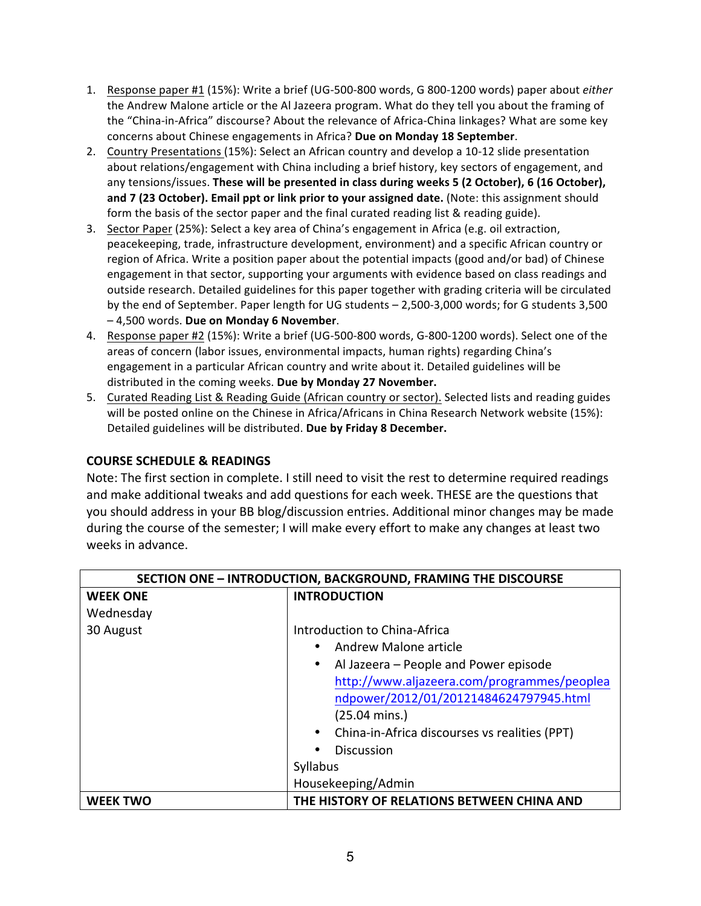- 1. Response paper #1 (15%): Write a brief (UG-500-800 words, G 800-1200 words) paper about *either* the Andrew Malone article or the Al Jazeera program. What do they tell you about the framing of the "China-in-Africa" discourse? About the relevance of Africa-China linkages? What are some key concerns about Chinese engagements in Africa? Due on Monday 18 September.
- 2. Country Presentations (15%): Select an African country and develop a 10-12 slide presentation about relations/engagement with China including a brief history, key sectors of engagement, and any tensions/issues. These will be presented in class during weeks 5 (2 October), 6 (16 October), and 7 (23 October). Email ppt or link prior to your assigned date. (Note: this assignment should form the basis of the sector paper and the final curated reading list & reading guide).
- 3. Sector Paper (25%): Select a key area of China's engagement in Africa (e.g. oil extraction, peacekeeping, trade, infrastructure development, environment) and a specific African country or region of Africa. Write a position paper about the potential impacts (good and/or bad) of Chinese engagement in that sector, supporting your arguments with evidence based on class readings and outside research. Detailed guidelines for this paper together with grading criteria will be circulated by the end of September. Paper length for UG students - 2,500-3,000 words; for G students 3,500 – 4,500 words. **Due on Monday 6 November**.
- 4. Response paper #2 (15%): Write a brief (UG-500-800 words, G-800-1200 words). Select one of the areas of concern (labor issues, environmental impacts, human rights) regarding China's engagement in a particular African country and write about it. Detailed guidelines will be distributed in the coming weeks. Due by Monday 27 November.
- 5. Curated Reading List & Reading Guide (African country or sector). Selected lists and reading guides will be posted online on the Chinese in Africa/Africans in China Research Network website (15%): Detailed guidelines will be distributed. Due by Friday 8 December.

# **COURSE SCHEDULE & READINGS**

Note: The first section in complete. I still need to visit the rest to determine required readings and make additional tweaks and add questions for each week. THESE are the questions that you should address in your BB blog/discussion entries. Additional minor changes may be made during the course of the semester; I will make every effort to make any changes at least two weeks in advance.

| <b>SECTION ONE - INTRODUCTION, BACKGROUND, FRAMING THE DISCOURSE</b> |                                                            |
|----------------------------------------------------------------------|------------------------------------------------------------|
| <b>WEEK ONE</b>                                                      | <b>INTRODUCTION</b>                                        |
| Wednesday                                                            |                                                            |
| 30 August                                                            | Introduction to China-Africa                               |
|                                                                      | Andrew Malone article<br>٠                                 |
|                                                                      | Al Jazeera - People and Power episode<br>٠                 |
|                                                                      | http://www.aljazeera.com/programmes/peoplea                |
|                                                                      | ndpower/2012/01/20121484624797945.html                     |
|                                                                      | $(25.04 \text{ mins.})$                                    |
|                                                                      | China-in-Africa discourses vs realities (PPT)<br>$\bullet$ |
|                                                                      | <b>Discussion</b>                                          |
|                                                                      | Syllabus                                                   |
|                                                                      | Housekeeping/Admin                                         |
| <b>WEEK TWO</b>                                                      | THE HISTORY OF RELATIONS BETWEEN CHINA AND                 |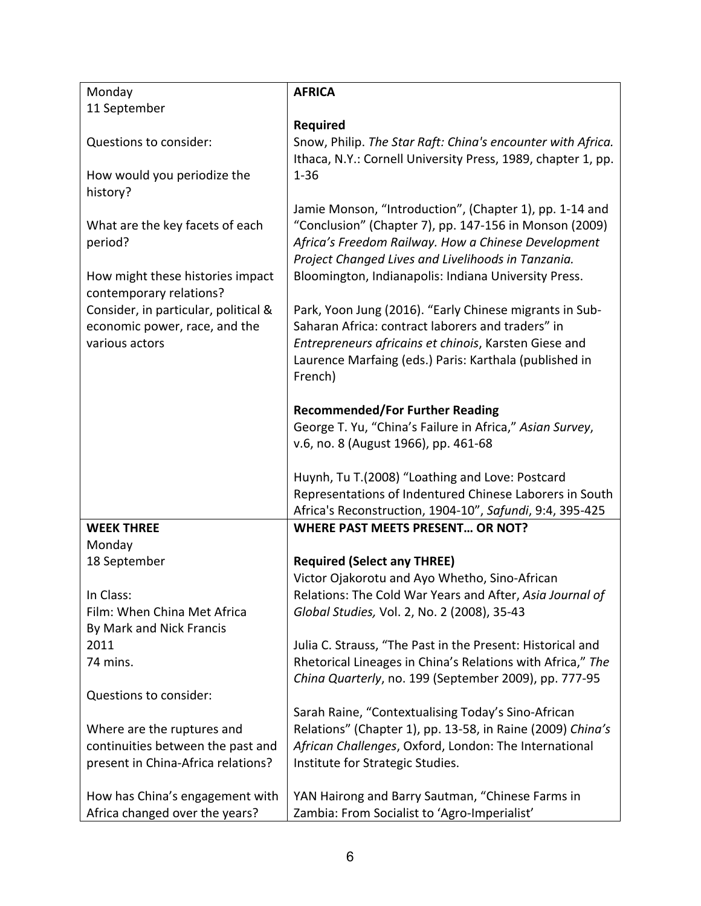| Monday                               | <b>AFRICA</b>                                                |
|--------------------------------------|--------------------------------------------------------------|
| 11 September                         |                                                              |
|                                      | <b>Required</b>                                              |
| Questions to consider:               | Snow, Philip. The Star Raft: China's encounter with Africa.  |
|                                      | Ithaca, N.Y.: Cornell University Press, 1989, chapter 1, pp. |
| How would you periodize the          | $1 - 36$                                                     |
| history?                             |                                                              |
|                                      |                                                              |
|                                      | Jamie Monson, "Introduction", (Chapter 1), pp. 1-14 and      |
| What are the key facets of each      | "Conclusion" (Chapter 7), pp. 147-156 in Monson (2009)       |
| period?                              | Africa's Freedom Railway. How a Chinese Development          |
|                                      | Project Changed Lives and Livelihoods in Tanzania.           |
| How might these histories impact     | Bloomington, Indianapolis: Indiana University Press.         |
| contemporary relations?              |                                                              |
| Consider, in particular, political & | Park, Yoon Jung (2016). "Early Chinese migrants in Sub-      |
| economic power, race, and the        | Saharan Africa: contract laborers and traders" in            |
| various actors                       | Entrepreneurs africains et chinois, Karsten Giese and        |
|                                      | Laurence Marfaing (eds.) Paris: Karthala (published in       |
|                                      | French)                                                      |
|                                      |                                                              |
|                                      | <b>Recommended/For Further Reading</b>                       |
|                                      | George T. Yu, "China's Failure in Africa," Asian Survey,     |
|                                      | v.6, no. 8 (August 1966), pp. 461-68                         |
|                                      |                                                              |
|                                      | Huynh, Tu T.(2008) "Loathing and Love: Postcard              |
|                                      | Representations of Indentured Chinese Laborers in South      |
|                                      | Africa's Reconstruction, 1904-10", Safundi, 9:4, 395-425     |
| <b>WEEK THREE</b>                    | <b>WHERE PAST MEETS PRESENT OR NOT?</b>                      |
| Monday                               |                                                              |
| 18 September                         | <b>Required (Select any THREE)</b>                           |
|                                      | Victor Ojakorotu and Ayo Whetho, Sino-African                |
| In Class:                            | Relations: The Cold War Years and After, Asia Journal of     |
| Film: When China Met Africa          | Global Studies, Vol. 2, No. 2 (2008), 35-43                  |
|                                      |                                                              |
| By Mark and Nick Francis             |                                                              |
| 2011                                 | Julia C. Strauss, "The Past in the Present: Historical and   |
| 74 mins.                             | Rhetorical Lineages in China's Relations with Africa," The   |
|                                      | China Quarterly, no. 199 (September 2009), pp. 777-95        |
| Questions to consider:               |                                                              |
|                                      | Sarah Raine, "Contextualising Today's Sino-African           |
| Where are the ruptures and           | Relations" (Chapter 1), pp. 13-58, in Raine (2009) China's   |
| continuities between the past and    | African Challenges, Oxford, London: The International        |
| present in China-Africa relations?   | Institute for Strategic Studies.                             |
|                                      |                                                              |
| How has China's engagement with      | YAN Hairong and Barry Sautman, "Chinese Farms in             |
| Africa changed over the years?       | Zambia: From Socialist to 'Agro-Imperialist'                 |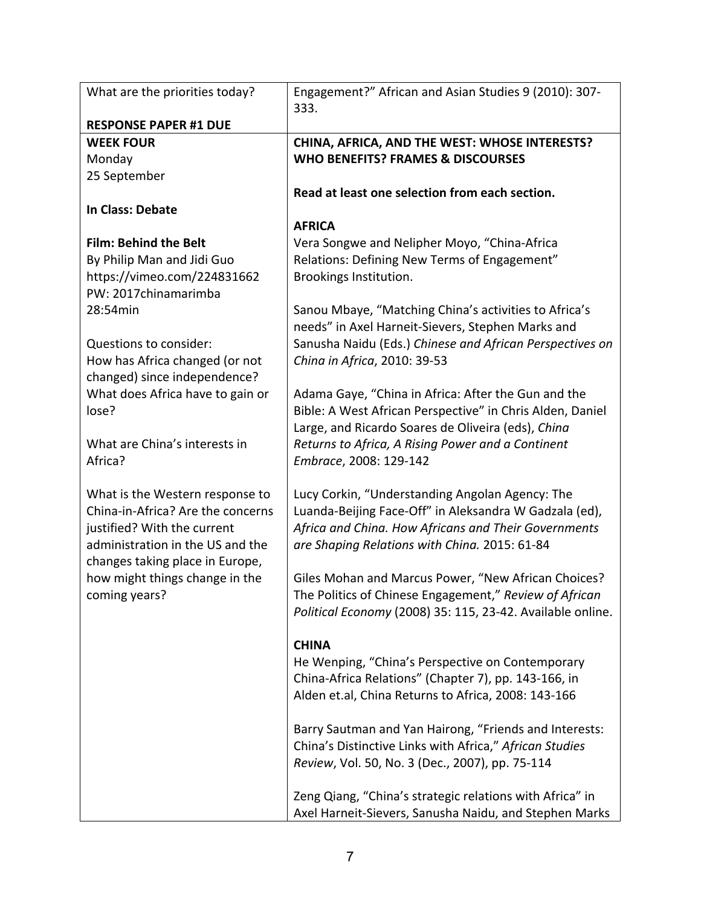| What are the priorities today?                   | Engagement?" African and Asian Studies 9 (2010): 307-      |
|--------------------------------------------------|------------------------------------------------------------|
|                                                  | 333.                                                       |
| <b>RESPONSE PAPER #1 DUE</b><br><b>WEEK FOUR</b> | CHINA, AFRICA, AND THE WEST: WHOSE INTERESTS?              |
| Monday                                           | <b>WHO BENEFITS? FRAMES &amp; DISCOURSES</b>               |
| 25 September                                     |                                                            |
|                                                  | Read at least one selection from each section.             |
| In Class: Debate                                 |                                                            |
|                                                  | <b>AFRICA</b>                                              |
| <b>Film: Behind the Belt</b>                     | Vera Songwe and Nelipher Moyo, "China-Africa               |
| By Philip Man and Jidi Guo                       | Relations: Defining New Terms of Engagement"               |
| https://vimeo.com/224831662                      | Brookings Institution.                                     |
| PW: 2017chinamarimba                             |                                                            |
| 28:54min                                         | Sanou Mbaye, "Matching China's activities to Africa's      |
|                                                  | needs" in Axel Harneit-Sievers, Stephen Marks and          |
| Questions to consider:                           | Sanusha Naidu (Eds.) Chinese and African Perspectives on   |
| How has Africa changed (or not                   | China in Africa, 2010: 39-53                               |
| changed) since independence?                     |                                                            |
| What does Africa have to gain or                 | Adama Gaye, "China in Africa: After the Gun and the        |
| lose?                                            | Bible: A West African Perspective" in Chris Alden, Daniel  |
|                                                  | Large, and Ricardo Soares de Oliveira (eds), China         |
| What are China's interests in                    | Returns to Africa, A Rising Power and a Continent          |
| Africa?                                          | Embrace, 2008: 129-142                                     |
|                                                  |                                                            |
| What is the Western response to                  | Lucy Corkin, "Understanding Angolan Agency: The            |
| China-in-Africa? Are the concerns                | Luanda-Beijing Face-Off" in Aleksandra W Gadzala (ed),     |
| justified? With the current                      | Africa and China. How Africans and Their Governments       |
| administration in the US and the                 | are Shaping Relations with China. 2015: 61-84              |
| changes taking place in Europe,                  |                                                            |
| how might things change in the                   | Giles Mohan and Marcus Power, "New African Choices?        |
| coming years?                                    | The Politics of Chinese Engagement," Review of African     |
|                                                  | Political Economy (2008) 35: 115, 23-42. Available online. |
|                                                  |                                                            |
|                                                  | <b>CHINA</b>                                               |
|                                                  | He Wenping, "China's Perspective on Contemporary           |
|                                                  | China-Africa Relations" (Chapter 7), pp. 143-166, in       |
|                                                  | Alden et.al, China Returns to Africa, 2008: 143-166        |
|                                                  | Barry Sautman and Yan Hairong, "Friends and Interests:     |
|                                                  | China's Distinctive Links with Africa," African Studies    |
|                                                  | Review, Vol. 50, No. 3 (Dec., 2007), pp. 75-114            |
|                                                  |                                                            |
|                                                  | Zeng Qiang, "China's strategic relations with Africa" in   |
|                                                  | Axel Harneit-Sievers, Sanusha Naidu, and Stephen Marks     |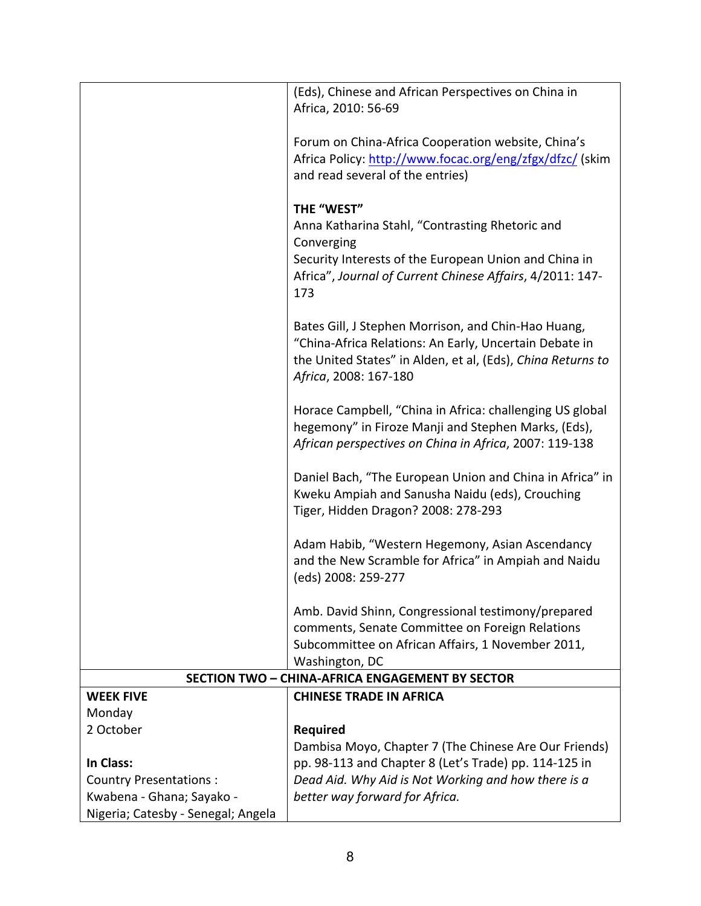|                                    | (Eds), Chinese and African Perspectives on China in                                                  |
|------------------------------------|------------------------------------------------------------------------------------------------------|
|                                    | Africa, 2010: 56-69                                                                                  |
|                                    |                                                                                                      |
|                                    | Forum on China-Africa Cooperation website, China's                                                   |
|                                    | Africa Policy: http://www.focac.org/eng/zfgx/dfzc/ (skim                                             |
|                                    | and read several of the entries)                                                                     |
|                                    |                                                                                                      |
|                                    | THE "WEST"                                                                                           |
|                                    | Anna Katharina Stahl, "Contrasting Rhetoric and                                                      |
|                                    | Converging                                                                                           |
|                                    | Security Interests of the European Union and China in                                                |
|                                    | Africa", Journal of Current Chinese Affairs, 4/2011: 147-                                            |
|                                    | 173                                                                                                  |
|                                    | Bates Gill, J Stephen Morrison, and Chin-Hao Huang,                                                  |
|                                    | "China-Africa Relations: An Early, Uncertain Debate in                                               |
|                                    | the United States" in Alden, et al, (Eds), China Returns to                                          |
|                                    | Africa, 2008: 167-180                                                                                |
|                                    |                                                                                                      |
|                                    | Horace Campbell, "China in Africa: challenging US global                                             |
|                                    | hegemony" in Firoze Manji and Stephen Marks, (Eds),                                                  |
|                                    | African perspectives on China in Africa, 2007: 119-138                                               |
|                                    | Daniel Bach, "The European Union and China in Africa" in                                             |
|                                    | Kweku Ampiah and Sanusha Naidu (eds), Crouching                                                      |
|                                    | Tiger, Hidden Dragon? 2008: 278-293                                                                  |
|                                    |                                                                                                      |
|                                    | Adam Habib, "Western Hegemony, Asian Ascendancy                                                      |
|                                    | and the New Scramble for Africa" in Ampiah and Naidu                                                 |
|                                    | (eds) 2008: 259-277                                                                                  |
|                                    |                                                                                                      |
|                                    | Amb. David Shinn, Congressional testimony/prepared                                                   |
|                                    | comments, Senate Committee on Foreign Relations<br>Subcommittee on African Affairs, 1 November 2011, |
|                                    | Washington, DC                                                                                       |
|                                    | <b>SECTION TWO - CHINA-AFRICA ENGAGEMENT BY SECTOR</b>                                               |
| <b>WEEK FIVE</b>                   | <b>CHINESE TRADE IN AFRICA</b>                                                                       |
| Monday                             |                                                                                                      |
| 2 October                          | <b>Required</b>                                                                                      |
|                                    | Dambisa Moyo, Chapter 7 (The Chinese Are Our Friends)                                                |
| In Class:                          | pp. 98-113 and Chapter 8 (Let's Trade) pp. 114-125 in                                                |
| Country Presentations:             | Dead Aid. Why Aid is Not Working and how there is a                                                  |
| Kwabena - Ghana; Sayako -          | better way forward for Africa.                                                                       |
| Nigeria; Catesby - Senegal; Angela |                                                                                                      |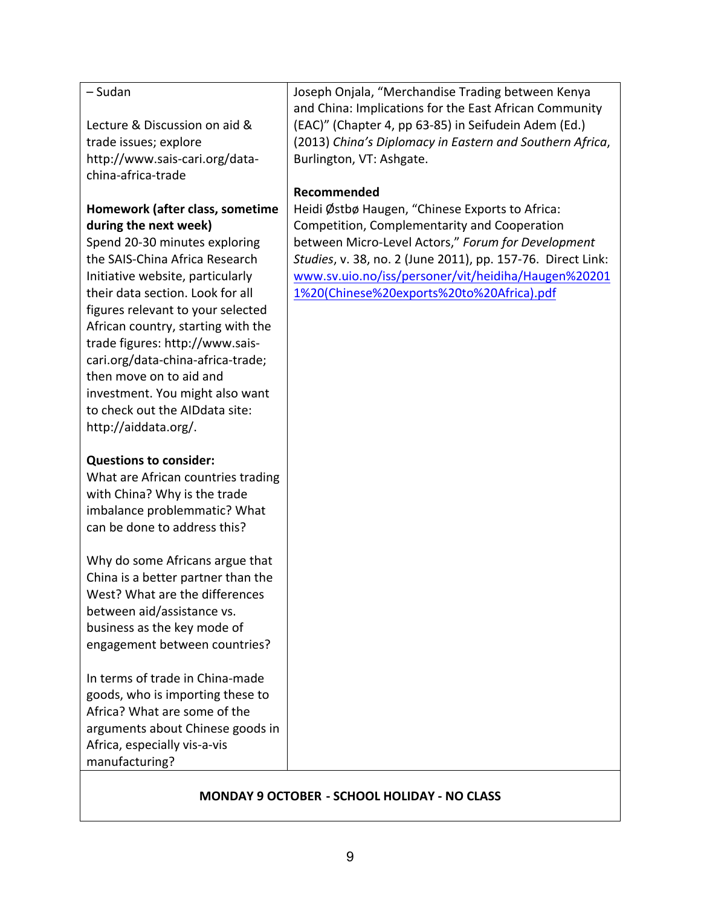| - Sudan                            | Joseph Onjala, "Merchandise Trading between Kenya<br>and China: Implications for the East African Community |
|------------------------------------|-------------------------------------------------------------------------------------------------------------|
| Lecture & Discussion on aid &      | (EAC)" (Chapter 4, pp 63-85) in Seifudein Adem (Ed.)                                                        |
| trade issues; explore              | (2013) China's Diplomacy in Eastern and Southern Africa,                                                    |
| http://www.sais-cari.org/data-     | Burlington, VT: Ashgate.                                                                                    |
| china-africa-trade                 |                                                                                                             |
|                                    | Recommended                                                                                                 |
| Homework (after class, sometime    | Heidi Østbø Haugen, "Chinese Exports to Africa:                                                             |
| during the next week)              | Competition, Complementarity and Cooperation                                                                |
| Spend 20-30 minutes exploring      | between Micro-Level Actors," Forum for Development                                                          |
| the SAIS-China Africa Research     | Studies, v. 38, no. 2 (June 2011), pp. 157-76. Direct Link:                                                 |
| Initiative website, particularly   | www.sv.uio.no/iss/personer/vit/heidiha/Haugen%20201                                                         |
| their data section. Look for all   | 1%20(Chinese%20exports%20to%20Africa).pdf                                                                   |
| figures relevant to your selected  |                                                                                                             |
| African country, starting with the |                                                                                                             |
| trade figures: http://www.sais-    |                                                                                                             |
| cari.org/data-china-africa-trade;  |                                                                                                             |
| then move on to aid and            |                                                                                                             |
| investment. You might also want    |                                                                                                             |
| to check out the AIDdata site:     |                                                                                                             |
| http://aiddata.org/.               |                                                                                                             |
|                                    |                                                                                                             |
| <b>Questions to consider:</b>      |                                                                                                             |
| What are African countries trading |                                                                                                             |
| with China? Why is the trade       |                                                                                                             |
| imbalance problemmatic? What       |                                                                                                             |
| can be done to address this?       |                                                                                                             |
|                                    |                                                                                                             |
| Why do some Africans argue that    |                                                                                                             |
| China is a better partner than the |                                                                                                             |
| West? What are the differences     |                                                                                                             |
| between aid/assistance vs.         |                                                                                                             |
| business as the key mode of        |                                                                                                             |
| engagement between countries?      |                                                                                                             |
|                                    |                                                                                                             |
| In terms of trade in China-made    |                                                                                                             |
| goods, who is importing these to   |                                                                                                             |
| Africa? What are some of the       |                                                                                                             |
| arguments about Chinese goods in   |                                                                                                             |
| Africa, especially vis-a-vis       |                                                                                                             |
| manufacturing?                     |                                                                                                             |
|                                    |                                                                                                             |

# **MONDAY 9 OCTOBER - SCHOOL HOLIDAY - NO CLASS**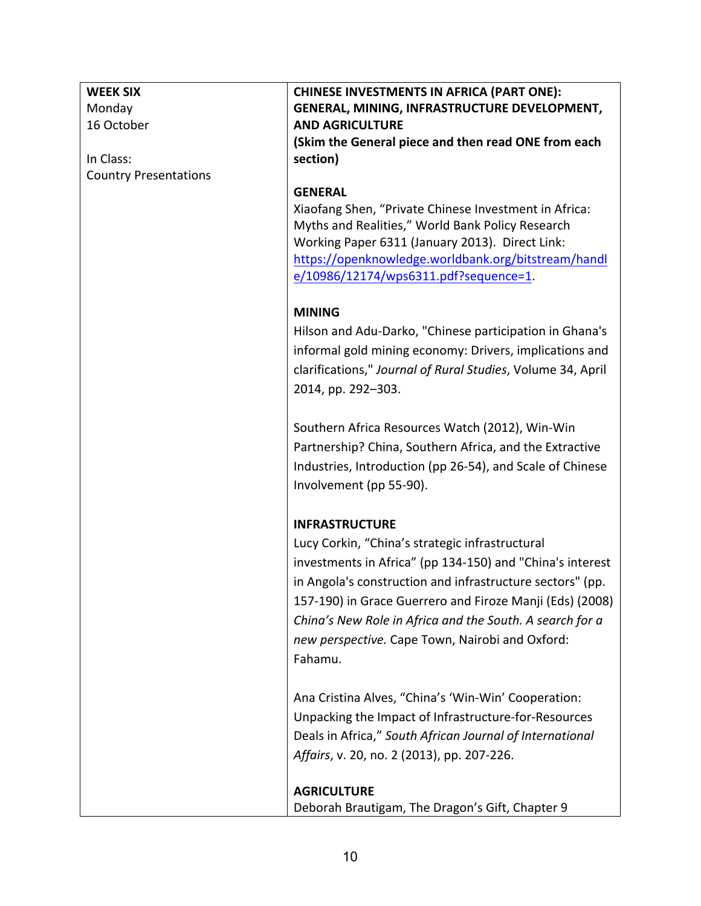| <b>WEEK SIX</b>              | <b>CHINESE INVESTMENTS IN AFRICA (PART ONE):</b>                                                                                                                                                                                                                                                                                                                |
|------------------------------|-----------------------------------------------------------------------------------------------------------------------------------------------------------------------------------------------------------------------------------------------------------------------------------------------------------------------------------------------------------------|
| Monday                       | GENERAL, MINING, INFRASTRUCTURE DEVELOPMENT,                                                                                                                                                                                                                                                                                                                    |
| 16 October                   | <b>AND AGRICULTURE</b>                                                                                                                                                                                                                                                                                                                                          |
|                              | (Skim the General piece and then read ONE from each                                                                                                                                                                                                                                                                                                             |
| In Class:                    | section)                                                                                                                                                                                                                                                                                                                                                        |
| <b>Country Presentations</b> | <b>GENERAL</b>                                                                                                                                                                                                                                                                                                                                                  |
|                              | Xiaofang Shen, "Private Chinese Investment in Africa:<br>Myths and Realities," World Bank Policy Research<br>Working Paper 6311 (January 2013). Direct Link:<br>https://openknowledge.worldbank.org/bitstream/handl<br>e/10986/12174/wps6311.pdf?sequence=1.                                                                                                    |
|                              | <b>MINING</b>                                                                                                                                                                                                                                                                                                                                                   |
|                              | Hilson and Adu-Darko, "Chinese participation in Ghana's<br>informal gold mining economy: Drivers, implications and<br>clarifications," Journal of Rural Studies, Volume 34, April<br>2014, pp. 292-303.                                                                                                                                                         |
|                              | Southern Africa Resources Watch (2012), Win-Win<br>Partnership? China, Southern Africa, and the Extractive<br>Industries, Introduction (pp 26-54), and Scale of Chinese<br>Involvement (pp 55-90).                                                                                                                                                              |
|                              | <b>INFRASTRUCTURE</b>                                                                                                                                                                                                                                                                                                                                           |
|                              | Lucy Corkin, "China's strategic infrastructural<br>investments in Africa" (pp 134-150) and "China's interest<br>in Angola's construction and infrastructure sectors" (pp.<br>157-190) in Grace Guerrero and Firoze Manji (Eds) (2008)<br>China's New Role in Africa and the South. A search for a<br>new perspective. Cape Town, Nairobi and Oxford:<br>Fahamu. |
|                              | Ana Cristina Alves, "China's 'Win-Win' Cooperation:                                                                                                                                                                                                                                                                                                             |
|                              | Unpacking the Impact of Infrastructure-for-Resources                                                                                                                                                                                                                                                                                                            |
|                              | Deals in Africa," South African Journal of International                                                                                                                                                                                                                                                                                                        |
|                              | Affairs, v. 20, no. 2 (2013), pp. 207-226.                                                                                                                                                                                                                                                                                                                      |
|                              | <b>AGRICULTURE</b><br>Deborah Brautigam, The Dragon's Gift, Chapter 9                                                                                                                                                                                                                                                                                           |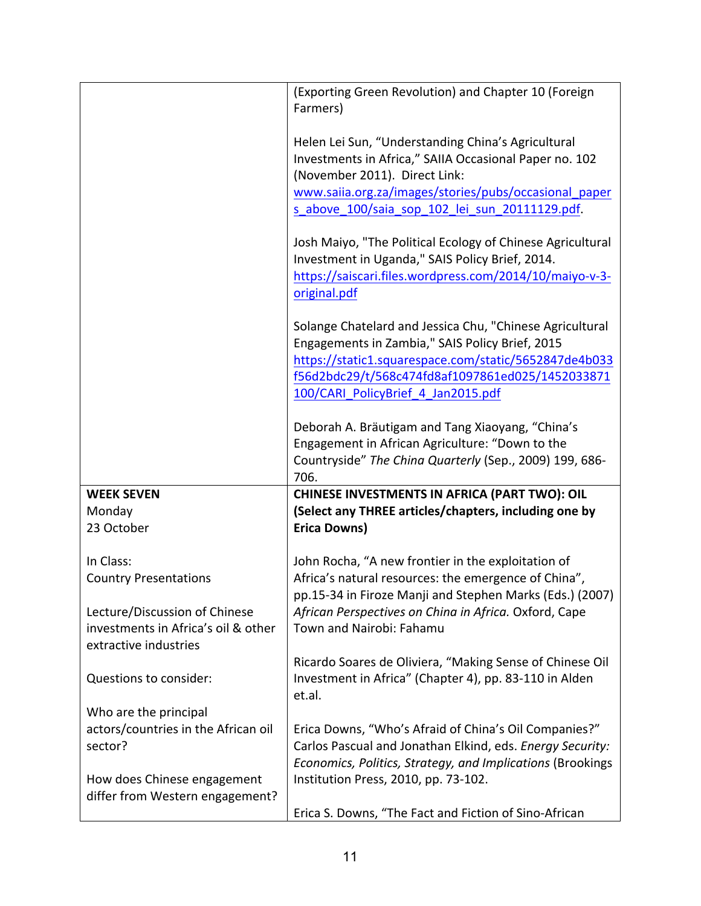|                                                              | (Exporting Green Revolution) and Chapter 10 (Foreign<br>Farmers)                                                                                                                                                                                               |
|--------------------------------------------------------------|----------------------------------------------------------------------------------------------------------------------------------------------------------------------------------------------------------------------------------------------------------------|
|                                                              | Helen Lei Sun, "Understanding China's Agricultural<br>Investments in Africa," SAIIA Occasional Paper no. 102<br>(November 2011). Direct Link:<br>www.saiia.org.za/images/stories/pubs/occasional paper<br>s above 100/saia sop 102 lei sun 20111129.pdf.       |
|                                                              | Josh Maiyo, "The Political Ecology of Chinese Agricultural<br>Investment in Uganda," SAIS Policy Brief, 2014.<br>https://saiscari.files.wordpress.com/2014/10/maiyo-v-3-<br>original.pdf                                                                       |
|                                                              | Solange Chatelard and Jessica Chu, "Chinese Agricultural<br>Engagements in Zambia," SAIS Policy Brief, 2015<br>https://static1.squarespace.com/static/5652847de4b033<br>f56d2bdc29/t/568c474fd8af1097861ed025/1452033871<br>100/CARI PolicyBrief 4 Jan2015.pdf |
|                                                              | Deborah A. Bräutigam and Tang Xiaoyang, "China's<br>Engagement in African Agriculture: "Down to the                                                                                                                                                            |
|                                                              | Countryside" The China Quarterly (Sep., 2009) 199, 686-<br>706.                                                                                                                                                                                                |
| <b>WEEK SEVEN</b>                                            | CHINESE INVESTMENTS IN AFRICA (PART TWO): OIL                                                                                                                                                                                                                  |
| Monday                                                       | (Select any THREE articles/chapters, including one by                                                                                                                                                                                                          |
| 23 October                                                   | <b>Erica Downs)</b>                                                                                                                                                                                                                                            |
|                                                              |                                                                                                                                                                                                                                                                |
| In Class:                                                    | John Rocha, "A new frontier in the exploitation of                                                                                                                                                                                                             |
| <b>Country Presentations</b>                                 | Africa's natural resources: the emergence of China",                                                                                                                                                                                                           |
|                                                              | pp.15-34 in Firoze Manji and Stephen Marks (Eds.) (2007)                                                                                                                                                                                                       |
| Lecture/Discussion of Chinese                                | African Perspectives on China in Africa. Oxford, Cape                                                                                                                                                                                                          |
| investments in Africa's oil & other<br>extractive industries | Town and Nairobi: Fahamu                                                                                                                                                                                                                                       |
|                                                              | Ricardo Soares de Oliviera, "Making Sense of Chinese Oil                                                                                                                                                                                                       |
| Questions to consider:                                       | Investment in Africa" (Chapter 4), pp. 83-110 in Alden                                                                                                                                                                                                         |
|                                                              | et.al.                                                                                                                                                                                                                                                         |
| Who are the principal<br>actors/countries in the African oil | Erica Downs, "Who's Afraid of China's Oil Companies?"                                                                                                                                                                                                          |
| sector?                                                      | Carlos Pascual and Jonathan Elkind, eds. Energy Security:                                                                                                                                                                                                      |
|                                                              | Economics, Politics, Strategy, and Implications (Brookings                                                                                                                                                                                                     |
| How does Chinese engagement                                  | Institution Press, 2010, pp. 73-102.                                                                                                                                                                                                                           |
| differ from Western engagement?                              | Erica S. Downs, "The Fact and Fiction of Sino-African                                                                                                                                                                                                          |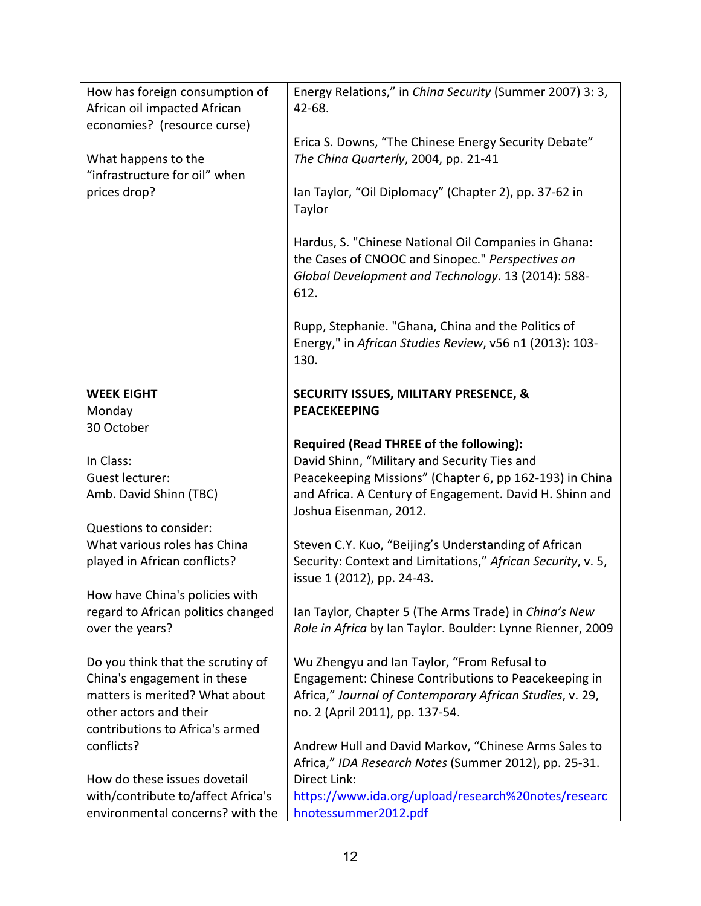| How has foreign consumption of<br>African oil impacted African<br>economies? (resource curse) | Energy Relations," in China Security (Summer 2007) 3: 3,<br>42-68.                                                                                                     |
|-----------------------------------------------------------------------------------------------|------------------------------------------------------------------------------------------------------------------------------------------------------------------------|
| What happens to the<br>"infrastructure for oil" when                                          | Erica S. Downs, "The Chinese Energy Security Debate"<br>The China Quarterly, 2004, pp. 21-41                                                                           |
| prices drop?                                                                                  | Ian Taylor, "Oil Diplomacy" (Chapter 2), pp. 37-62 in<br>Taylor                                                                                                        |
|                                                                                               | Hardus, S. "Chinese National Oil Companies in Ghana:<br>the Cases of CNOOC and Sinopec." Perspectives on<br>Global Development and Technology. 13 (2014): 588-<br>612. |
|                                                                                               | Rupp, Stephanie. "Ghana, China and the Politics of<br>Energy," in African Studies Review, v56 n1 (2013): 103-<br>130.                                                  |
| <b>WEEK EIGHT</b>                                                                             | <b>SECURITY ISSUES, MILITARY PRESENCE, &amp;</b>                                                                                                                       |
| Monday                                                                                        | <b>PEACEKEEPING</b>                                                                                                                                                    |
| 30 October                                                                                    |                                                                                                                                                                        |
|                                                                                               | <b>Required (Read THREE of the following):</b>                                                                                                                         |
| In Class:                                                                                     | David Shinn, "Military and Security Ties and                                                                                                                           |
| Guest lecturer:                                                                               | Peacekeeping Missions" (Chapter 6, pp 162-193) in China                                                                                                                |
| Amb. David Shinn (TBC)                                                                        | and Africa. A Century of Engagement. David H. Shinn and<br>Joshua Eisenman, 2012.                                                                                      |
| Questions to consider:                                                                        |                                                                                                                                                                        |
| What various roles has China                                                                  | Steven C.Y. Kuo, "Beijing's Understanding of African                                                                                                                   |
| played in African conflicts?                                                                  | Security: Context and Limitations," African Security, v. 5,<br>issue 1 (2012), pp. 24-43.                                                                              |
| How have China's policies with                                                                |                                                                                                                                                                        |
| regard to African politics changed                                                            | Ian Taylor, Chapter 5 (The Arms Trade) in China's New                                                                                                                  |
| over the years?                                                                               | Role in Africa by Ian Taylor. Boulder: Lynne Rienner, 2009                                                                                                             |
| Do you think that the scrutiny of                                                             | Wu Zhengyu and Ian Taylor, "From Refusal to                                                                                                                            |
| China's engagement in these                                                                   | Engagement: Chinese Contributions to Peacekeeping in                                                                                                                   |
| matters is merited? What about                                                                | Africa," Journal of Contemporary African Studies, v. 29,                                                                                                               |
| other actors and their                                                                        | no. 2 (April 2011), pp. 137-54.                                                                                                                                        |
| contributions to Africa's armed                                                               |                                                                                                                                                                        |
| conflicts?                                                                                    | Andrew Hull and David Markov, "Chinese Arms Sales to<br>Africa," IDA Research Notes (Summer 2012), pp. 25-31.                                                          |
| How do these issues dovetail                                                                  | Direct Link:                                                                                                                                                           |
| with/contribute to/affect Africa's                                                            | https://www.ida.org/upload/research%20notes/researc                                                                                                                    |
| environmental concerns? with the                                                              | hnotessummer2012.pdf                                                                                                                                                   |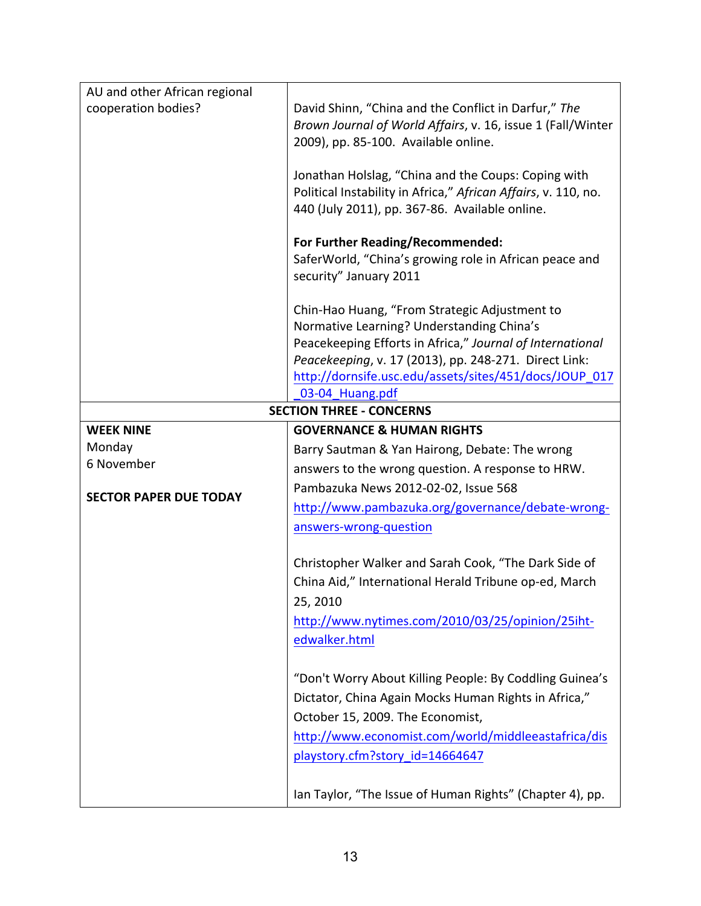| AU and other African regional   |                                                                                                                 |
|---------------------------------|-----------------------------------------------------------------------------------------------------------------|
| cooperation bodies?             | David Shinn, "China and the Conflict in Darfur," The                                                            |
|                                 | Brown Journal of World Affairs, v. 16, issue 1 (Fall/Winter<br>2009), pp. 85-100. Available online.             |
|                                 |                                                                                                                 |
|                                 | Jonathan Holslag, "China and the Coups: Coping with                                                             |
|                                 | Political Instability in Africa," African Affairs, v. 110, no.                                                  |
|                                 | 440 (July 2011), pp. 367-86. Available online.                                                                  |
|                                 | For Further Reading/Recommended:                                                                                |
|                                 | SaferWorld, "China's growing role in African peace and                                                          |
|                                 | security" January 2011                                                                                          |
|                                 | Chin-Hao Huang, "From Strategic Adjustment to                                                                   |
|                                 | Normative Learning? Understanding China's                                                                       |
|                                 | Peacekeeping Efforts in Africa," Journal of International                                                       |
|                                 | Peacekeeping, v. 17 (2013), pp. 248-271. Direct Link:<br>http://dornsife.usc.edu/assets/sites/451/docs/JOUP_017 |
|                                 | 03-04 Huang.pdf                                                                                                 |
| <b>SECTION THREE - CONCERNS</b> |                                                                                                                 |
| <b>WEEK NINE</b>                | <b>GOVERNANCE &amp; HUMAN RIGHTS</b>                                                                            |
| Monday                          | Barry Sautman & Yan Hairong, Debate: The wrong                                                                  |
| 6 November                      | answers to the wrong question. A response to HRW.                                                               |
| <b>SECTOR PAPER DUE TODAY</b>   | Pambazuka News 2012-02-02, Issue 568                                                                            |
|                                 | http://www.pambazuka.org/governance/debate-wrong-                                                               |
|                                 | answers-wrong-question                                                                                          |
|                                 | Christopher Walker and Sarah Cook, "The Dark Side of                                                            |
|                                 | China Aid," International Herald Tribune op-ed, March                                                           |
|                                 | 25, 2010                                                                                                        |
|                                 | http://www.nytimes.com/2010/03/25/opinion/25iht-                                                                |
|                                 | edwalker.html                                                                                                   |
|                                 |                                                                                                                 |
|                                 | "Don't Worry About Killing People: By Coddling Guinea's                                                         |
|                                 | Dictator, China Again Mocks Human Rights in Africa,"                                                            |
|                                 | October 15, 2009. The Economist,                                                                                |
|                                 | http://www.economist.com/world/middleeastafrica/dis                                                             |
|                                 | playstory.cfm?story id=14664647                                                                                 |
|                                 | Ian Taylor, "The Issue of Human Rights" (Chapter 4), pp.                                                        |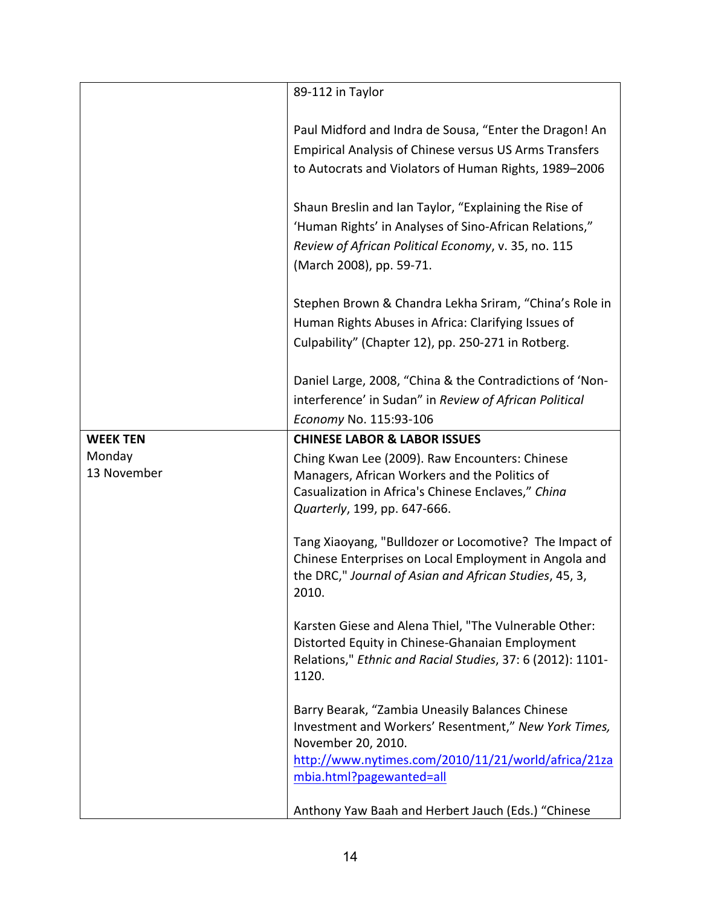|                           | 89-112 in Taylor                                                                                         |
|---------------------------|----------------------------------------------------------------------------------------------------------|
|                           |                                                                                                          |
|                           | Paul Midford and Indra de Sousa, "Enter the Dragon! An                                                   |
|                           | <b>Empirical Analysis of Chinese versus US Arms Transfers</b>                                            |
|                           | to Autocrats and Violators of Human Rights, 1989-2006                                                    |
|                           |                                                                                                          |
|                           | Shaun Breslin and Ian Taylor, "Explaining the Rise of                                                    |
|                           | 'Human Rights' in Analyses of Sino-African Relations,"                                                   |
|                           | Review of African Political Economy, v. 35, no. 115                                                      |
|                           | (March 2008), pp. 59-71.                                                                                 |
|                           |                                                                                                          |
|                           | Stephen Brown & Chandra Lekha Sriram, "China's Role in                                                   |
|                           | Human Rights Abuses in Africa: Clarifying Issues of                                                      |
|                           | Culpability" (Chapter 12), pp. 250-271 in Rotberg.                                                       |
|                           |                                                                                                          |
|                           | Daniel Large, 2008, "China & the Contradictions of 'Non-                                                 |
|                           |                                                                                                          |
|                           | interference' in Sudan" in Review of African Political                                                   |
|                           | Economy No. 115:93-106                                                                                   |
| <b>WEEK TEN</b><br>Monday | <b>CHINESE LABOR &amp; LABOR ISSUES</b>                                                                  |
| 13 November               | Ching Kwan Lee (2009). Raw Encounters: Chinese<br>Managers, African Workers and the Politics of          |
|                           | Casualization in Africa's Chinese Enclaves," China                                                       |
|                           | Quarterly, 199, pp. 647-666.                                                                             |
|                           |                                                                                                          |
|                           | Tang Xiaoyang, "Bulldozer or Locomotive? The Impact of                                                   |
|                           | Chinese Enterprises on Local Employment in Angola and                                                    |
|                           | the DRC," Journal of Asian and African Studies, 45, 3,                                                   |
|                           | 2010.                                                                                                    |
|                           |                                                                                                          |
|                           | Karsten Giese and Alena Thiel, "The Vulnerable Other:<br>Distorted Equity in Chinese-Ghanaian Employment |
|                           | Relations," Ethnic and Racial Studies, 37: 6 (2012): 1101-                                               |
|                           | 1120.                                                                                                    |
|                           |                                                                                                          |
|                           | Barry Bearak, "Zambia Uneasily Balances Chinese                                                          |
|                           | Investment and Workers' Resentment," New York Times,                                                     |
|                           | November 20, 2010.                                                                                       |
|                           | http://www.nytimes.com/2010/11/21/world/africa/21za                                                      |
|                           | mbia.html?pagewanted=all                                                                                 |
|                           |                                                                                                          |
|                           | Anthony Yaw Baah and Herbert Jauch (Eds.) "Chinese                                                       |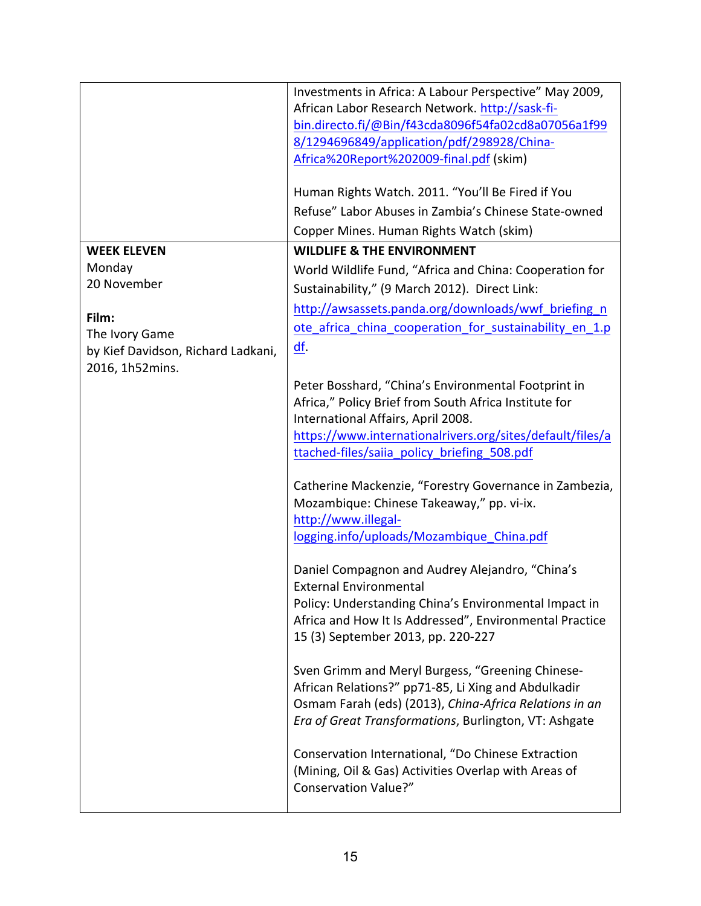|                                    | Investments in Africa: A Labour Perspective" May 2009,                                      |
|------------------------------------|---------------------------------------------------------------------------------------------|
|                                    | African Labor Research Network. http://sask-fi-                                             |
|                                    | bin.directo.fi/@Bin/f43cda8096f54fa02cd8a07056a1f99                                         |
|                                    | 8/1294696849/application/pdf/298928/China-                                                  |
|                                    | Africa%20Report%202009-final.pdf (skim)                                                     |
|                                    |                                                                                             |
|                                    | Human Rights Watch. 2011. "You'll Be Fired if You                                           |
|                                    | Refuse" Labor Abuses in Zambia's Chinese State-owned                                        |
|                                    | Copper Mines. Human Rights Watch (skim)                                                     |
| <b>WEEK ELEVEN</b>                 | <b>WILDLIFE &amp; THE ENVIRONMENT</b>                                                       |
| Monday                             | World Wildlife Fund, "Africa and China: Cooperation for                                     |
| 20 November                        | Sustainability," (9 March 2012). Direct Link:                                               |
|                                    | http://awsassets.panda.org/downloads/wwf_briefing_n                                         |
| Film:                              | ote_africa_china_cooperation_for_sustainability_en_1.p                                      |
| The Ivory Game                     | df.                                                                                         |
| by Kief Davidson, Richard Ladkani, |                                                                                             |
| 2016, 1h52mins.                    |                                                                                             |
|                                    | Peter Bosshard, "China's Environmental Footprint in                                         |
|                                    | Africa," Policy Brief from South Africa Institute for<br>International Affairs, April 2008. |
|                                    | https://www.internationalrivers.org/sites/default/files/a                                   |
|                                    | ttached-files/saiia policy briefing 508.pdf                                                 |
|                                    |                                                                                             |
|                                    | Catherine Mackenzie, "Forestry Governance in Zambezia,                                      |
|                                    | Mozambique: Chinese Takeaway," pp. vi-ix.                                                   |
|                                    | http://www.illegal-                                                                         |
|                                    | logging.info/uploads/Mozambique_China.pdf                                                   |
|                                    |                                                                                             |
|                                    | Daniel Compagnon and Audrey Alejandro, "China's                                             |
|                                    | <b>External Environmental</b>                                                               |
|                                    | Policy: Understanding China's Environmental Impact in                                       |
|                                    | Africa and How It Is Addressed", Environmental Practice                                     |
|                                    | 15 (3) September 2013, pp. 220-227                                                          |
|                                    | Sven Grimm and Meryl Burgess, "Greening Chinese-                                            |
|                                    | African Relations?" pp71-85, Li Xing and Abdulkadir                                         |
|                                    | Osmam Farah (eds) (2013), China-Africa Relations in an                                      |
|                                    | Era of Great Transformations, Burlington, VT: Ashgate                                       |
|                                    |                                                                                             |
|                                    | Conservation International, "Do Chinese Extraction                                          |
|                                    | (Mining, Oil & Gas) Activities Overlap with Areas of                                        |
|                                    | <b>Conservation Value?"</b>                                                                 |
|                                    |                                                                                             |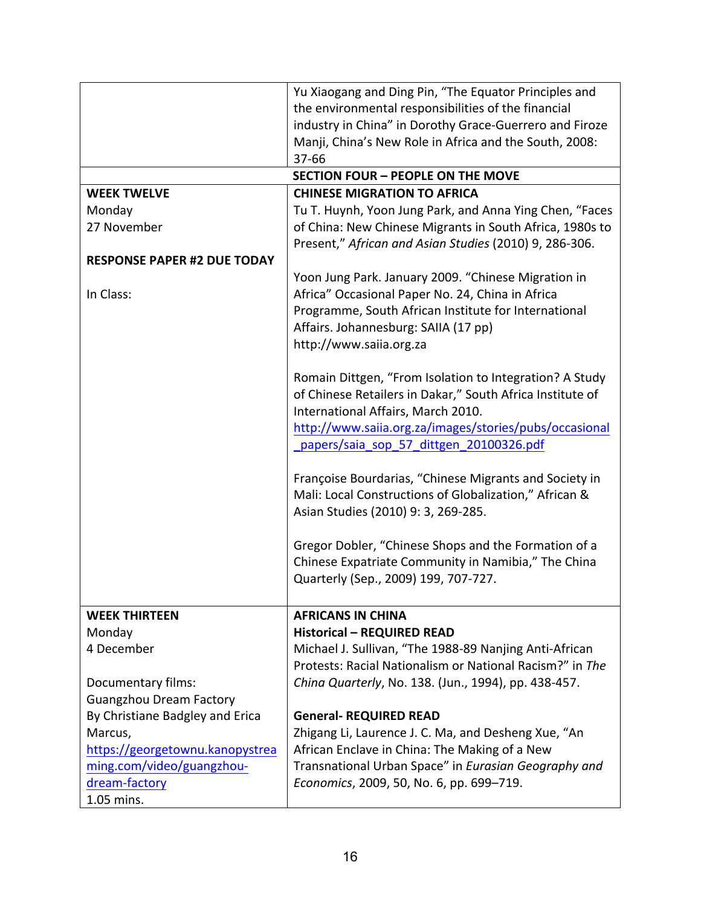|                                    | Yu Xiaogang and Ding Pin, "The Equator Principles and     |
|------------------------------------|-----------------------------------------------------------|
|                                    | the environmental responsibilities of the financial       |
|                                    | industry in China" in Dorothy Grace-Guerrero and Firoze   |
|                                    | Manji, China's New Role in Africa and the South, 2008:    |
|                                    | 37-66                                                     |
|                                    | <b>SECTION FOUR - PEOPLE ON THE MOVE</b>                  |
| <b>WEEK TWELVE</b>                 | <b>CHINESE MIGRATION TO AFRICA</b>                        |
| Monday                             | Tu T. Huynh, Yoon Jung Park, and Anna Ying Chen, "Faces   |
| 27 November                        | of China: New Chinese Migrants in South Africa, 1980s to  |
|                                    | Present," African and Asian Studies (2010) 9, 286-306.    |
| <b>RESPONSE PAPER #2 DUE TODAY</b> |                                                           |
|                                    | Yoon Jung Park. January 2009. "Chinese Migration in       |
| In Class:                          | Africa" Occasional Paper No. 24, China in Africa          |
|                                    | Programme, South African Institute for International      |
|                                    | Affairs. Johannesburg: SAIIA (17 pp)                      |
|                                    | http://www.saiia.org.za                                   |
|                                    |                                                           |
|                                    | Romain Dittgen, "From Isolation to Integration? A Study   |
|                                    | of Chinese Retailers in Dakar," South Africa Institute of |
|                                    | International Affairs, March 2010.                        |
|                                    | http://www.saiia.org.za/images/stories/pubs/occasional    |
|                                    | papers/saia_sop_57_dittgen_20100326.pdf                   |
|                                    |                                                           |
|                                    | Françoise Bourdarias, "Chinese Migrants and Society in    |
|                                    | Mali: Local Constructions of Globalization," African &    |
|                                    | Asian Studies (2010) 9: 3, 269-285.                       |
|                                    |                                                           |
|                                    | Gregor Dobler, "Chinese Shops and the Formation of a      |
|                                    | Chinese Expatriate Community in Namibia," The China       |
|                                    | Quarterly (Sep., 2009) 199, 707-727.                      |
|                                    |                                                           |
| <b>WEEK THIRTEEN</b>               | <b>AFRICANS IN CHINA</b>                                  |
| Monday                             | <b>Historical - REQUIRED READ</b>                         |
| 4 December                         | Michael J. Sullivan, "The 1988-89 Nanjing Anti-African    |
|                                    | Protests: Racial Nationalism or National Racism?" in The  |
| Documentary films:                 | China Quarterly, No. 138. (Jun., 1994), pp. 438-457.      |
| <b>Guangzhou Dream Factory</b>     |                                                           |
| By Christiane Badgley and Erica    | <b>General- REQUIRED READ</b>                             |
| Marcus,                            | Zhigang Li, Laurence J. C. Ma, and Desheng Xue, "An       |
| https://georgetownu.kanopystrea    | African Enclave in China: The Making of a New             |
| ming.com/video/guangzhou-          | Transnational Urban Space" in Eurasian Geography and      |
| dream-factory                      | Economics, 2009, 50, No. 6, pp. 699-719.                  |
| 1.05 mins.                         |                                                           |